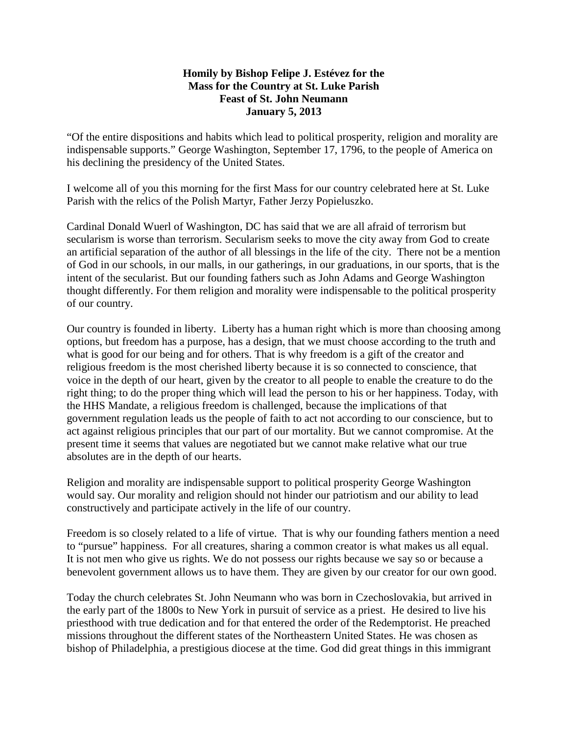## **Homily by Bishop Felipe J. Estévez for the Mass for the Country at St. Luke Parish Feast of St. John Neumann January 5, 2013**

"Of the entire dispositions and habits which lead to political prosperity, religion and morality are indispensable supports." George Washington, September 17, 1796, to the people of America on his declining the presidency of the United States.

I welcome all of you this morning for the first Mass for our country celebrated here at St. Luke Parish with the relics of the Polish Martyr, Father Jerzy Popieluszko.

Cardinal Donald Wuerl of Washington, DC has said that we are all afraid of terrorism but secularism is worse than terrorism. Secularism seeks to move the city away from God to create an artificial separation of the author of all blessings in the life of the city. There not be a mention of God in our schools, in our malls, in our gatherings, in our graduations, in our sports, that is the intent of the secularist. But our founding fathers such as John Adams and George Washington thought differently. For them religion and morality were indispensable to the political prosperity of our country.

Our country is founded in liberty. Liberty has a human right which is more than choosing among options, but freedom has a purpose, has a design, that we must choose according to the truth and what is good for our being and for others. That is why freedom is a gift of the creator and religious freedom is the most cherished liberty because it is so connected to conscience, that voice in the depth of our heart, given by the creator to all people to enable the creature to do the right thing; to do the proper thing which will lead the person to his or her happiness. Today, with the HHS Mandate, a religious freedom is challenged, because the implications of that government regulation leads us the people of faith to act not according to our conscience, but to act against religious principles that our part of our mortality. But we cannot compromise. At the present time it seems that values are negotiated but we cannot make relative what our true absolutes are in the depth of our hearts.

Religion and morality are indispensable support to political prosperity George Washington would say. Our morality and religion should not hinder our patriotism and our ability to lead constructively and participate actively in the life of our country.

Freedom is so closely related to a life of virtue. That is why our founding fathers mention a need to "pursue" happiness. For all creatures, sharing a common creator is what makes us all equal. It is not men who give us rights. We do not possess our rights because we say so or because a benevolent government allows us to have them. They are given by our creator for our own good.

Today the church celebrates St. John Neumann who was born in Czechoslovakia, but arrived in the early part of the 1800s to New York in pursuit of service as a priest. He desired to live his priesthood with true dedication and for that entered the order of the Redemptorist. He preached missions throughout the different states of the Northeastern United States. He was chosen as bishop of Philadelphia, a prestigious diocese at the time. God did great things in this immigrant